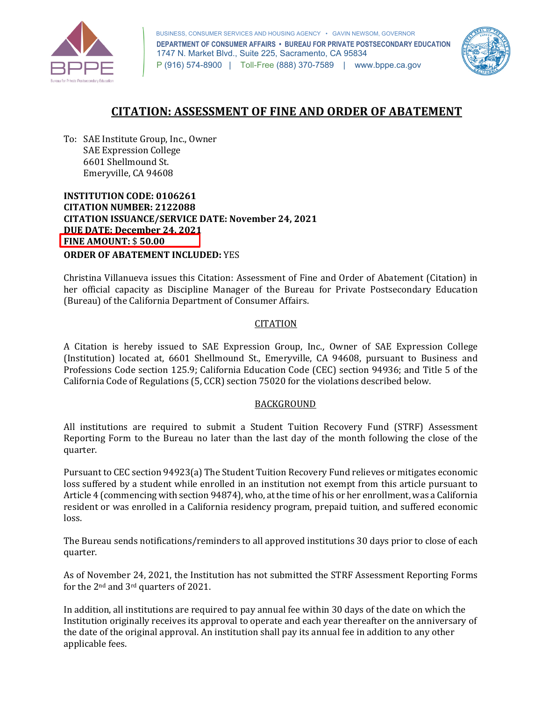

 **DEPARTMENT OF CONSUMER AFFAIRS • BUREAU FOR PRIVATE POSTSECONDARY EDUCATION**  1747 N. Market Blvd., Suite 225, Sacramento, CA 95834 P (916) 574-8900 | Toll-Free (888) 370-7589 | [www.bppe.ca.gov](https://www.bppe.ca.gov/)  BUSINESS, CONSUMER SERVICES AND HOUSING AGENCY • GAVIN NEWSOM, GOVERNOR



# **CITATION: ASSESSMENT OF FINE AND ORDER OF ABATEMENT**

 To: SAE Institute Group, Inc., Owner Emeryville, CA 94608 SAE Expression College 6601 Shellmound St.

 **INSTITUTION CODE: 0106261 CITATION ISSUANCE/SERVICE DATE: November 24, 2021 CITATION NUMBER: 2122088 DUE DATE: December 24, 2021 FINE AMOUNT:** \$ **50.00 ORDER OF ABATEMENT INCLUDED:** YES

 Christina Villanueva issues this Citation: Assessment of Fine and Order of Abatement (Citation) in (Bureau) of the California Department of Consumer Affairs. her official capacity as Discipline Manager of the Bureau for Private Postsecondary Education

### **CITATION**

 (Institution) located at, 6601 Shellmound St., Emeryville, CA 94608, pursuant to Business and Professions Code section 125.9; California Education Code (CEC) section 94936; and Title 5 of the California Code of Regulations (5, CCR) section 75020 for the violations described below. A Citation is hereby issued to SAE Expression Group, Inc., Owner of SAE Expression College

#### BACKGROUND

 All institutions are required to submit a Student Tuition Recovery Fund (STRF) Assessment Reporting Form to the Bureau no later than the last day of the month following the close of the quarter.

quarter.<br>Pursuant to CEC section 94923(a) The Student Tuition Recovery Fund relieves or mitigates economic loss suffered by a student while enrolled in an institution not exempt from this article pursuant to Article 4 (commencing with section 94874), who, at the time of his or her enrollment, was a California resident or was enrolled in a California residency program, prepaid tuition, and suffered economic loss.

 The Bureau sends notifications/reminders to all approved institutions 30 days prior to close of each quarter.

for the  $2<sup>nd</sup>$  and  $3<sup>rd</sup>$  quarters of 2021. As of November 24, 2021, the Institution has not submitted the STRF Assessment Reporting Forms

 In addition, all institutions are required to pay annual fee within 30 days of the date on which the Institution originally receives its approval to operate and each year thereafter on the anniversary of the date of the original approval. An institution shall pay its annual fee in addition to any other applicable fees.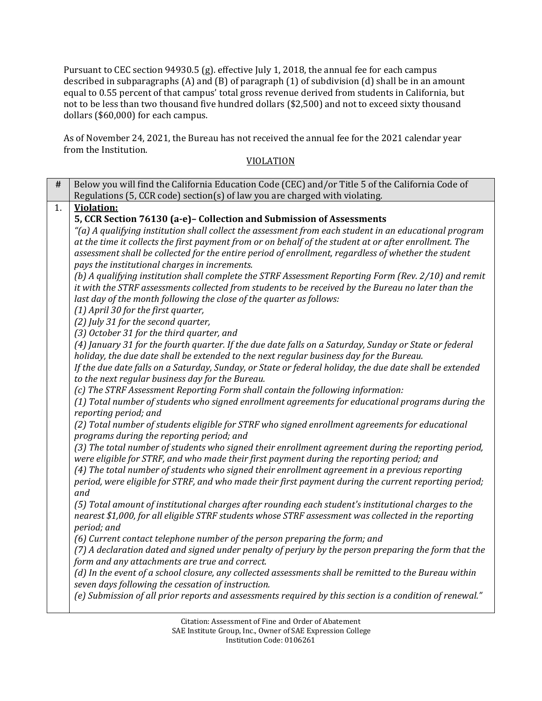Pursuant to CEC section 94930.5 (g). effective July 1, 2018, the annual fee for each campus described in subparagraphs (A) and (B) of paragraph (1) of subdivision (d) shall be in an amount equal to 0.55 percent of that campus' total gross revenue derived from students in California, but not to be less than two thousand five hundred dollars (\$2,500) and not to exceed sixty thousand dollars (\$60,000) for each campus.

 As of November 24, 2021, the Bureau has not received the annual fee for the 2021 calendar year from the Institution. from the Institution.<br>VIOLATION

| #  | Below you will find the California Education Code (CEC) and/or Title 5 of the California Code of<br>Regulations (5, CCR code) section(s) of law you are charged with violating.                                                                                                                                                                                                                                                                                                                                                                                                                                                                                                                                                                                                                                                                                                                                                                                                                                                                                                                                                                                                                                                                                                                                                                                                                                                                                                                                                                                                                                                                                                                                                                                                                                                                                                                                                                                                                                                                                                                                                                                                                                                                                                                                                                                                                                                                                             |
|----|-----------------------------------------------------------------------------------------------------------------------------------------------------------------------------------------------------------------------------------------------------------------------------------------------------------------------------------------------------------------------------------------------------------------------------------------------------------------------------------------------------------------------------------------------------------------------------------------------------------------------------------------------------------------------------------------------------------------------------------------------------------------------------------------------------------------------------------------------------------------------------------------------------------------------------------------------------------------------------------------------------------------------------------------------------------------------------------------------------------------------------------------------------------------------------------------------------------------------------------------------------------------------------------------------------------------------------------------------------------------------------------------------------------------------------------------------------------------------------------------------------------------------------------------------------------------------------------------------------------------------------------------------------------------------------------------------------------------------------------------------------------------------------------------------------------------------------------------------------------------------------------------------------------------------------------------------------------------------------------------------------------------------------------------------------------------------------------------------------------------------------------------------------------------------------------------------------------------------------------------------------------------------------------------------------------------------------------------------------------------------------------------------------------------------------------------------------------------------------|
|    |                                                                                                                                                                                                                                                                                                                                                                                                                                                                                                                                                                                                                                                                                                                                                                                                                                                                                                                                                                                                                                                                                                                                                                                                                                                                                                                                                                                                                                                                                                                                                                                                                                                                                                                                                                                                                                                                                                                                                                                                                                                                                                                                                                                                                                                                                                                                                                                                                                                                             |
| 1. | <b>Violation:</b><br>5, CCR Section 76130 (a-e)- Collection and Submission of Assessments<br>"(a) A qualifying institution shall collect the assessment from each student in an educational program<br>at the time it collects the first payment from or on behalf of the student at or after enrollment. The<br>assessment shall be collected for the entire period of enrollment, regardless of whether the student<br>pays the institutional charges in increments.<br>(b) A qualifying institution shall complete the STRF Assessment Reporting Form (Rev. 2/10) and remit<br>it with the STRF assessments collected from students to be received by the Bureau no later than the<br>last day of the month following the close of the quarter as follows:<br>(1) April 30 for the first quarter,<br>(2) July 31 for the second quarter,<br>(3) October 31 for the third quarter, and<br>(4) January 31 for the fourth quarter. If the due date falls on a Saturday, Sunday or State or federal<br>holiday, the due date shall be extended to the next regular business day for the Bureau.<br>If the due date falls on a Saturday, Sunday, or State or federal holiday, the due date shall be extended<br>to the next regular business day for the Bureau.<br>(c) The STRF Assessment Reporting Form shall contain the following information:<br>(1) Total number of students who signed enrollment agreements for educational programs during the<br>reporting period; and<br>(2) Total number of students eligible for STRF who signed enrollment agreements for educational<br>programs during the reporting period; and<br>(3) The total number of students who signed their enrollment agreement during the reporting period,<br>were eligible for STRF, and who made their first payment during the reporting period; and<br>(4) The total number of students who signed their enrollment agreement in a previous reporting<br>period, were eligible for STRF, and who made their first payment during the current reporting period;<br>and<br>(5) Total amount of institutional charges after rounding each student's institutional charges to the<br>nearest \$1,000, for all eligible STRF students whose STRF assessment was collected in the reporting<br>period; and<br>(6) Current contact telephone number of the person preparing the form; and<br>(7) A declaration dated and signed under penalty of perjury by the person preparing the form that the |
|    | form and any attachments are true and correct.                                                                                                                                                                                                                                                                                                                                                                                                                                                                                                                                                                                                                                                                                                                                                                                                                                                                                                                                                                                                                                                                                                                                                                                                                                                                                                                                                                                                                                                                                                                                                                                                                                                                                                                                                                                                                                                                                                                                                                                                                                                                                                                                                                                                                                                                                                                                                                                                                              |
|    | (d) In the event of a school closure, any collected assessments shall be remitted to the Bureau within<br>seven days following the cessation of instruction.                                                                                                                                                                                                                                                                                                                                                                                                                                                                                                                                                                                                                                                                                                                                                                                                                                                                                                                                                                                                                                                                                                                                                                                                                                                                                                                                                                                                                                                                                                                                                                                                                                                                                                                                                                                                                                                                                                                                                                                                                                                                                                                                                                                                                                                                                                                |
|    | (e) Submission of all prior reports and assessments required by this section is a condition of renewal."                                                                                                                                                                                                                                                                                                                                                                                                                                                                                                                                                                                                                                                                                                                                                                                                                                                                                                                                                                                                                                                                                                                                                                                                                                                                                                                                                                                                                                                                                                                                                                                                                                                                                                                                                                                                                                                                                                                                                                                                                                                                                                                                                                                                                                                                                                                                                                    |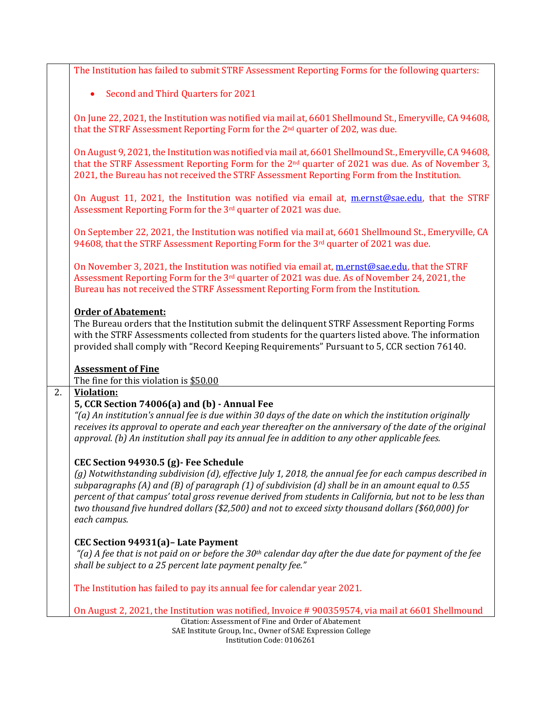|    | The Institution has failed to submit STRF Assessment Reporting Forms for the following quarters:                                                                                                                                                                                                                             |
|----|------------------------------------------------------------------------------------------------------------------------------------------------------------------------------------------------------------------------------------------------------------------------------------------------------------------------------|
|    | Second and Third Quarters for 2021                                                                                                                                                                                                                                                                                           |
|    |                                                                                                                                                                                                                                                                                                                              |
|    | On June 22, 2021, the Institution was notified via mail at, 6601 Shellmound St., Emeryville, CA 94608,<br>that the STRF Assessment Reporting Form for the 2 <sup>nd</sup> quarter of 202, was due.                                                                                                                           |
|    | On August 9, 2021, the Institution was notified via mail at, 6601 Shellmound St., Emeryville, CA 94608,<br>that the STRF Assessment Reporting Form for the $2nd$ quarter of 2021 was due. As of November 3,<br>2021, the Bureau has not received the STRF Assessment Reporting Form from the Institution.                    |
|    | On August 11, 2021, the Institution was notified via email at, mental one-edu, that the STRF<br>Assessment Reporting Form for the 3rd quarter of 2021 was due.                                                                                                                                                               |
|    | On September 22, 2021, the Institution was notified via mail at, 6601 Shellmound St., Emeryville, CA<br>94608, that the STRF Assessment Reporting Form for the 3rd quarter of 2021 was due.                                                                                                                                  |
|    | On November 3, 2021, the Institution was notified via email at, mernst@sae.edu, that the STRF<br>Assessment Reporting Form for the 3rd quarter of 2021 was due. As of November 24, 2021, the<br>Bureau has not received the STRF Assessment Reporting Form from the Institution.                                             |
|    | <b>Order of Abatement:</b><br>The Bureau orders that the Institution submit the delinquent STRF Assessment Reporting Forms<br>with the STRF Assessments collected from students for the quarters listed above. The information<br>provided shall comply with "Record Keeping Requirements" Pursuant to 5, CCR section 76140. |
|    | <b>Assessment of Fine</b>                                                                                                                                                                                                                                                                                                    |
| 2. | The fine for this violation is \$50.00<br><b>Violation:</b>                                                                                                                                                                                                                                                                  |
|    | 5, CCR Section 74006(a) and (b) - Annual Fee                                                                                                                                                                                                                                                                                 |
|    | "(a) An institution's annual fee is due within 30 days of the date on which the institution originally                                                                                                                                                                                                                       |
|    | receives its approval to operate and each year thereafter on the anniversary of the date of the original<br>approval. (b) An institution shall pay its annual fee in addition to any other applicable fees.                                                                                                                  |
|    | CEC Section 94930.5 (g)- Fee Schedule                                                                                                                                                                                                                                                                                        |
|    | (g) Notwithstanding subdivision (d), effective July 1, 2018, the annual fee for each campus described in                                                                                                                                                                                                                     |
|    | subparagraphs (A) and (B) of paragraph (1) of subdivision (d) shall be in an amount equal to 0.55                                                                                                                                                                                                                            |
|    | percent of that campus' total gross revenue derived from students in California, but not to be less than<br>two thousand five hundred dollars (\$2,500) and not to exceed sixty thousand dollars (\$60,000) for                                                                                                              |
|    | each campus.                                                                                                                                                                                                                                                                                                                 |
|    |                                                                                                                                                                                                                                                                                                                              |
|    | CEC Section 94931(a) - Late Payment<br>"(a) A fee that is not paid on or before the 30 <sup>th</sup> calendar day after the due date for payment of the fee                                                                                                                                                                  |
|    | shall be subject to a 25 percent late payment penalty fee."                                                                                                                                                                                                                                                                  |
|    | The Institution has failed to pay its annual fee for calendar year 2021.                                                                                                                                                                                                                                                     |
|    | On August 2, 2021, the Institution was notified, Invoice #900359574, via mail at 6601 Shellmound                                                                                                                                                                                                                             |
|    | Citation: Assessment of Fine and Order of Abatement                                                                                                                                                                                                                                                                          |

SAE Institute Group, Inc., Owner of SAE Expression College Institution Code: 0106261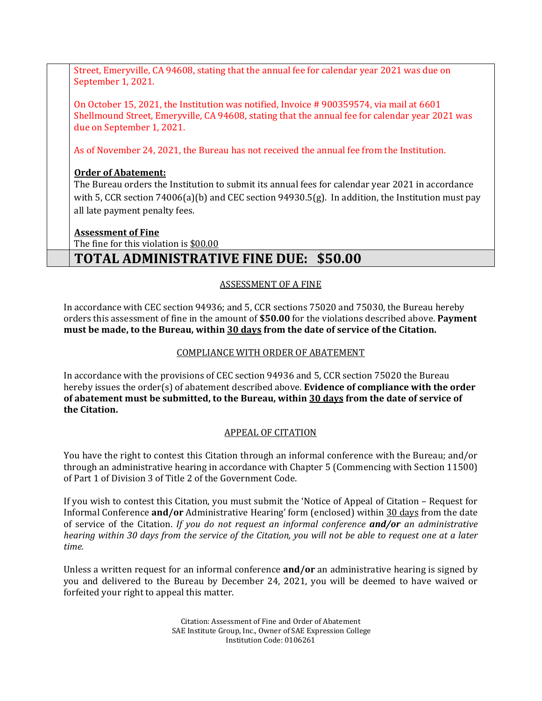Street, Emeryville, CA 94608, stating that the annual fee for calendar year 2021 was due on September 1, 2021.

September 1, 2021.<br>On October 15, 2021, the Institution was notified, Invoice # 900359574, via mail at 6601 Shellmound Street, Emeryville, CA 94608, stating that the annual fee for calendar year 2021 was due on September 1, 2021.

As of November 24, 2021, the Bureau has not received the annual fee from the Institution.

## **Order of Abatement:**

 The Bureau orders the Institution to submit its annual fees for calendar year 2021 in accordance with 5, CCR section 74006(a)(b) and CEC section 94930.5(g). In addition, the Institution must pay all late payment penalty fees.

## **Assessment of Fine**

The fine for this violation is <u>\$00.00</u>

# **TOTAL ADMINISTRATIVE FINE DUE: \$50.00**

## ASSESSMENT OF A FINE

 In accordance with CEC section 94936; and 5, CCR sections 75020 and 75030, the Bureau hereby orders this assessment of fine in the amount of **\$50.00** for the violations described above. **Payment must be made, to the Bureau, within 30 days from the date of service of the Citation.** 

# COMPLIANCE WITH ORDER OF ABATEMENT

 In accordance with the provisions of CEC section 94936 and 5, CCR section 75020 the Bureau hereby issues the order(s) of abatement described above. **Evidence of compliance with the order of abatement must be submitted, to the Bureau, within 30 days from the date of service of the Citation.** 

## APPEAL OF CITATION

 You have the right to contest this Citation through an informal conference with the Bureau; and/or through an administrative hearing in accordance with Chapter 5 (Commencing with Section 11500) of Part 1 of Division 3 of Title 2 of the Government Code.

 If you wish to contest this Citation, you must submit the 'Notice of Appeal of Citation – Request for  *hearing within 30 days from the service of the Citation, you will not be able to request one at a later*  Informal Conference **and/or** Administrative Hearing' form (enclosed) within 30 days from the date of service of the Citation. *If you do not request an informal conference and/or an administrative time.* 

 Unless a written request for an informal conference **and/or** an administrative hearing is signed by forfeited your right to appeal this matter. you and delivered to the Bureau by December 24, 2021, you will be deemed to have waived or

> Citation: Assessment of Fine and Order of Abatement SAE Institute Group, Inc., Owner of SAE Expression College Institution Code: 0106261